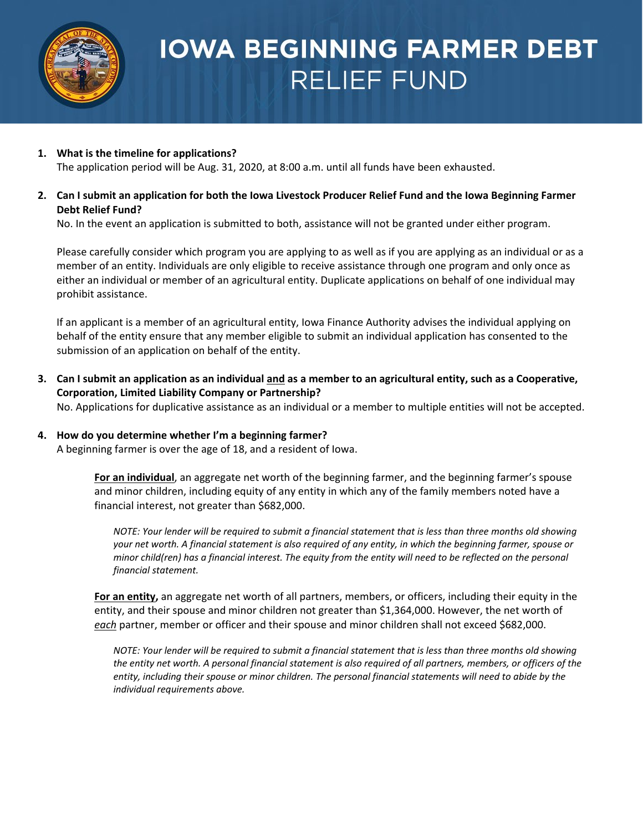

# **IOWA BEGINNING FARMER DEBT RELIEF FUND**

#### **1. What is the timeline for applications?** The application period will be Aug. 31, 2020, at 8:00 a.m. until all funds have been exhausted.

# 2. Can I submit an application for both the Iowa Livestock Producer Relief Fund and the Iowa Beginning Farmer **Debt Relief Fund?**

No. In the event an application is submitted to both, assistance will not be granted under either program.

Please carefully consider which program you are applying to as well as if you are applying as an individual or as a member of an entity. Individuals are only eligible to receive assistance through one program and only once as either an individual or member of an agricultural entity. Duplicate applications on behalf of one individual may prohibit assistance.

If an applicant is a member of an agricultural entity, Iowa Finance Authority advises the individual applying on behalf of the entity ensure that any member eligible to submit an individual application has consented to the submission of an application on behalf of the entity.

3. Can I submit an application as an individual and as a member to an agricultural entity, such as a Cooperative, **Corporation, Limited Liability Company or Partnership?** 

No. Applications for duplicative assistance as an individual or a member to multiple entities will not be accepted.

# **4. How do you determine whether I'm a beginning farmer?**

A beginning farmer is over the age of 18, and a resident of Iowa.

**For an individual**, an aggregate net worth of the beginning farmer, and the beginning farmer's spouse and minor children, including equity of any entity in which any of the family members noted have a financial interest, not greater than \$682,000.

*NOTE: Your lender will be required to submit a financial statement that is less than three months old showing your net worth. A financial statement is also required of any entity, in which the beginning farmer, spouse or minor child(ren) has a financial interest. The equity from the entity will need to be reflected on the personal financial statement.*

**For an entity,** an aggregate net worth of all partners, members, or officers, including their equity in the entity, and their spouse and minor children not greater than \$1,364,000. However, the net worth of *each* partner, member or officer and their spouse and minor children shall not exceed \$682,000.

*NOTE: Your lender will be required to submit a financial statement that is less than three months old showing the entity net worth. A personal financial statement is also required of all partners, members, or officers of the entity, including their spouse or minor children. The personal financial statements will need to abide by the individual requirements above.*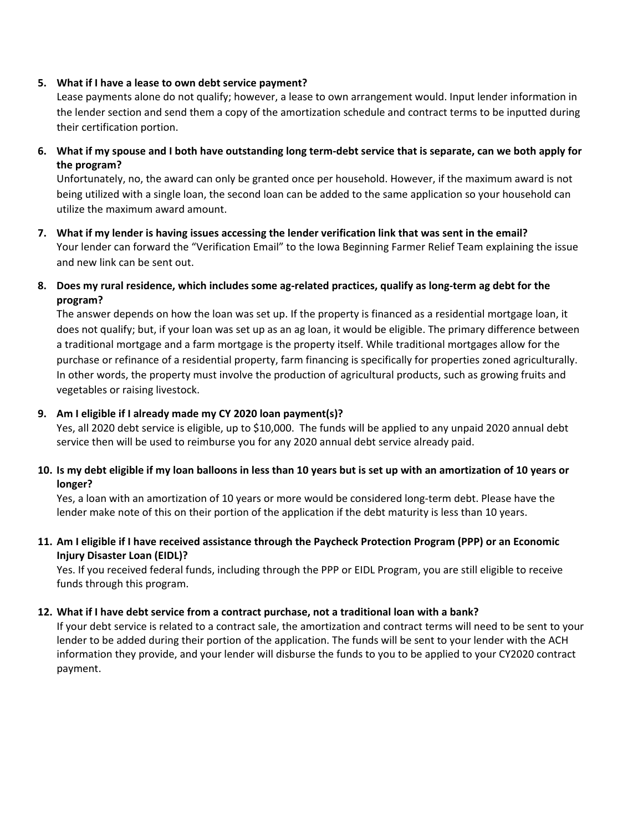#### **5. What if I have a lease to own debt service payment?**

Lease payments alone do not qualify; however, a lease to own arrangement would. Input lender information in the lender section and send them a copy of the amortization schedule and contract terms to be inputted during their certification portion.

**6. What if my spouse and I both have outstanding long term-debt service that is separate, can we both apply for the program?**

Unfortunately, no, the award can only be granted once per household. However, if the maximum award is not being utilized with a single loan, the second loan can be added to the same application so your household can utilize the maximum award amount.

- **7. What if my lender is having issues accessing the lender verification link that was sent in the email?** Your lender can forward the "Verification Email" to the Iowa Beginning Farmer Relief Team explaining the issue and new link can be sent out.
- **8. Does my rural residence, which includes some ag-related practices, qualify as long-term ag debt for the program?**

The answer depends on how the loan was set up. If the property is financed as a residential mortgage loan, it does not qualify; but, if your loan was set up as an ag loan, it would be eligible. The primary difference between a traditional mortgage and a farm mortgage is the property itself. While traditional mortgages allow for the purchase or refinance of a residential property, farm financing is specifically for properties zoned agriculturally. In other words, the property must involve the production of agricultural products, such as growing fruits and vegetables or raising livestock.

### **9. Am I eligible if I already made my CY 2020 loan payment(s)?**

Yes, all 2020 debt service is eligible, up to \$10,000. The funds will be applied to any unpaid 2020 annual debt service then will be used to reimburse you for any 2020 annual debt service already paid.

# 10. Is my debt eligible if my loan balloons in less than 10 years but is set up with an amortization of 10 years or **longer?**

Yes, a loan with an amortization of 10 years or more would be considered long-term debt. Please have the lender make note of this on their portion of the application if the debt maturity is less than 10 years.

# **11. Am I eligible if I have received assistance through the Paycheck Protection Program (PPP) or an Economic Injury Disaster Loan (EIDL)?**

Yes. If you received federal funds, including through the PPP or EIDL Program, you are still eligible to receive funds through this program.

# **12. What if I have debt service from a contract purchase, not a traditional loan with a bank?**

If your debt service is related to a contract sale, the amortization and contract terms will need to be sent to your lender to be added during their portion of the application. The funds will be sent to your lender with the ACH information they provide, and your lender will disburse the funds to you to be applied to your CY2020 contract payment.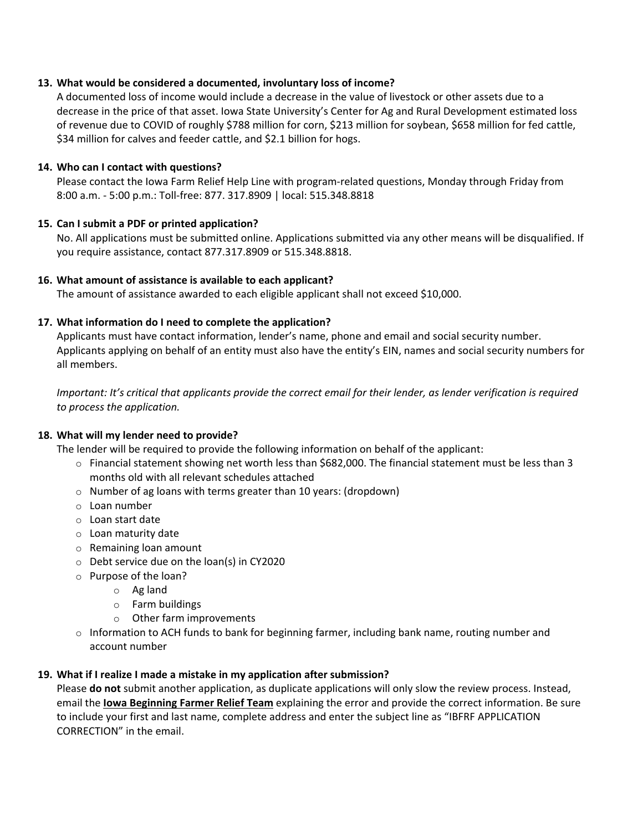#### **13. What would be considered a documented, involuntary loss of income?**

A documented loss of income would include a decrease in the value of livestock or other assets due to a decrease in the price of that asset. Iowa State University's Center for Ag and Rural Development estimated loss of revenue due to COVID of roughly \$788 million for corn, \$213 million for soybean, \$658 million for fed cattle, \$34 million for calves and feeder cattle, and \$2.1 billion for hogs.

#### **14. Who can I contact with questions?**

Please contact the Iowa Farm Relief Help Line with program-related questions, Monday through Friday from 8:00 a.m. - 5:00 p.m.: Toll-free: 877. 317.8909 | local: 515.348.8818

#### **15. Can I submit a PDF or printed application?**

No. All applications must be submitted online. Applications submitted via any other means will be disqualified. If you require assistance, contact 877.317.8909 or 515.348.8818.

#### **16. What amount of assistance is available to each applicant?**

The amount of assistance awarded to each eligible applicant shall not exceed \$10,000.

#### **17. What information do I need to complete the application?**

Applicants must have contact information, lender's name, phone and email and social security number. Applicants applying on behalf of an entity must also have the entity's EIN, names and social security numbers for all members.

Important: It's critical that applicants provide the correct email for their lender, as lender verification is required *to process the application.*

#### **18. What will my lender need to provide?**

The lender will be required to provide the following information on behalf of the applicant:

- $\circ$  Financial statement showing net worth less than \$682,000. The financial statement must be less than 3 months old with all relevant schedules attached
- o Number of ag loans with terms greater than 10 years: (dropdown)
- o Loan number
- o Loan start date
- o Loan maturity date
- o Remaining loan amount
- o Debt service due on the loan(s) in CY2020
- o Purpose of the loan?
	- o Ag land
	- o Farm buildings
	- o Other farm improvements
- $\circ$  Information to ACH funds to bank for beginning farmer, including bank name, routing number and account number

#### **19. What if I realize I made a mistake in my application after submission?**

Please **do not** submit another application, as duplicate applications will only slow the review process. Instead, email the **[Iowa Beginning Farmer Relief Team](mailto:beginningfarmerrelief@iowafinance.com)** explaining the error and provide the correct information. Be sure to include your first and last name, complete address and enter the subject line as "IBFRF APPLICATION CORRECTION" in the email.